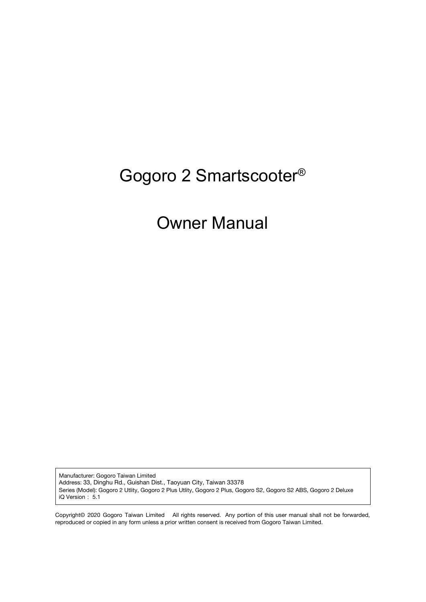# Gogoro 2 Smartscooter®

# Owner Manual

Manufacturer: Gogoro Taiwan Limited Address: 33, Dinghu Rd., Guishan Dist., Taoyuan City, Taiwan 33378 Series (Model): Gogoro 2 Utlity, Gogoro 2 Plus Utlity, Gogoro 2 Plus, Gogoro S2, Gogoro S2 ABS, Gogoro 2 Deluxe iQ Version: 5.1

Copyright© 2020 Gogoro Taiwan Limited All rights reserved. Any portion of this user manual shall not be forwarded, reproduced or copied in any form unless a prior written consent is received from Gogoro Taiwan Limited.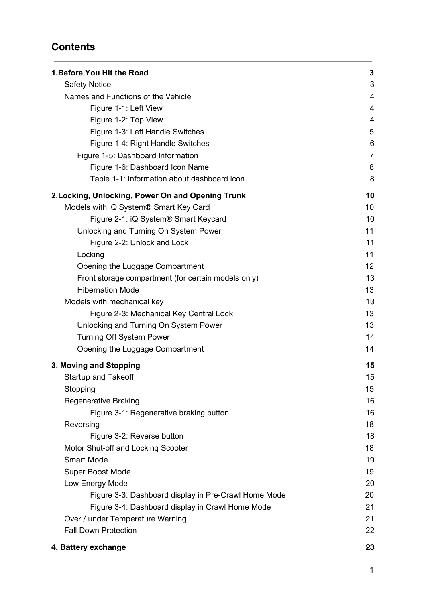# **Contents**

| 1. Before You Hit the Road                           | 3              |
|------------------------------------------------------|----------------|
| <b>Safety Notice</b>                                 | 3              |
| Names and Functions of the Vehicle                   | 4              |
| Figure 1-1: Left View                                | 4              |
| Figure 1-2: Top View                                 | 4              |
| Figure 1-3: Left Handle Switches                     | 5              |
| Figure 1-4: Right Handle Switches                    | 6              |
| Figure 1-5: Dashboard Information                    | $\overline{7}$ |
| Figure 1-6: Dashboard Icon Name                      | 8              |
| Table 1-1: Information about dashboard icon          | 8              |
| 2. Locking, Unlocking, Power On and Opening Trunk    | 10             |
| Models with iQ System® Smart Key Card                | 10             |
| Figure 2-1: iQ System <sup>®</sup> Smart Keycard     | 10             |
| Unlocking and Turning On System Power                | 11             |
| Figure 2-2: Unlock and Lock                          | 11             |
| Locking                                              | 11             |
| Opening the Luggage Compartment                      | 12             |
| Front storage compartment (for certain models only)  | 13             |
| <b>Hibernation Mode</b>                              | 13             |
| Models with mechanical key                           | 13             |
| Figure 2-3: Mechanical Key Central Lock              | 13             |
| Unlocking and Turning On System Power                | 13             |
| <b>Turning Off System Power</b>                      | 14             |
| Opening the Luggage Compartment                      | 14             |
| 3. Moving and Stopping                               | 15             |
| <b>Startup and Takeoff</b>                           | 15             |
| Stopping                                             | 15             |
| <b>Regenerative Braking</b>                          | 16             |
| Figure 3-1: Regenerative braking button              | 16             |
| Reversing                                            | 18             |
| Figure 3-2: Reverse button                           | 18             |
| Motor Shut-off and Locking Scooter                   | 18             |
| <b>Smart Mode</b>                                    | 19             |
| Super Boost Mode                                     | 19             |
| Low Energy Mode                                      | 20             |
| Figure 3-3: Dashboard display in Pre-Crawl Home Mode | 20             |
| Figure 3-4: Dashboard display in Crawl Home Mode     | 21             |
| Over / under Temperature Warning                     | 21             |
| <b>Fall Down Protection</b>                          | 22             |
| 4. Battery exchange                                  | 23             |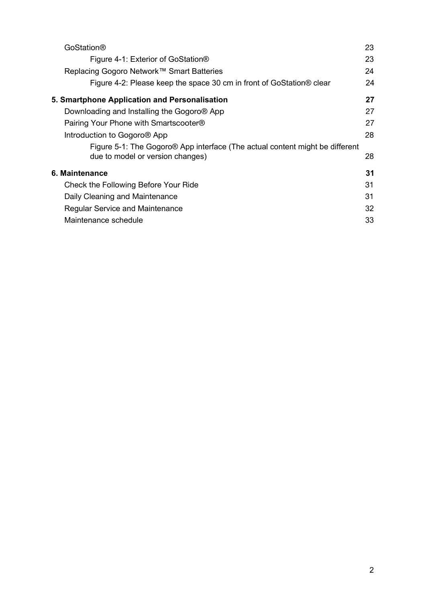| GoStation®                                                                               | 23 |
|------------------------------------------------------------------------------------------|----|
| Figure 4-1: Exterior of GoStation®                                                       | 23 |
| Replacing Gogoro Network™ Smart Batteries                                                | 24 |
| Figure 4-2: Please keep the space 30 cm in front of GoStation® clear                     | 24 |
| 5. Smartphone Application and Personalisation                                            | 27 |
| Downloading and Installing the Gogoro <sup>®</sup> App                                   | 27 |
| Pairing Your Phone with Smartscooter <sup>®</sup>                                        | 27 |
| Introduction to Gogoro <sup>®</sup> App                                                  | 28 |
| Figure 5-1: The Gogoro <sup>®</sup> App interface (The actual content might be different |    |
| due to model or version changes)                                                         | 28 |
| 6. Maintenance                                                                           | 31 |
| Check the Following Before Your Ride                                                     | 31 |
| Daily Cleaning and Maintenance                                                           | 31 |
| <b>Regular Service and Maintenance</b>                                                   | 32 |
| Maintenance schedule                                                                     | 33 |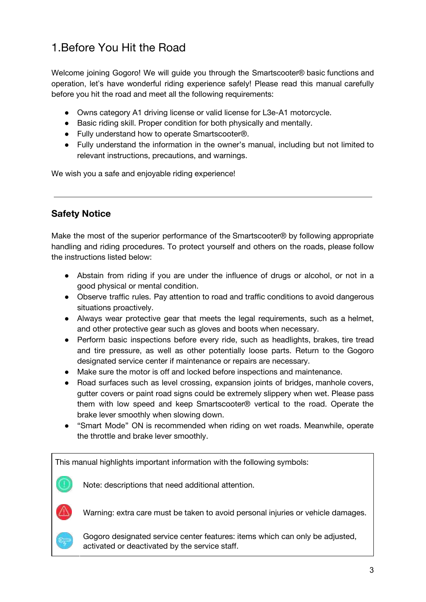# <span id="page-3-0"></span>1.Before You Hit the Road

Welcome joining Gogoro! We will guide you through the Smartscooter® basic functions and operation, let's have wonderful riding experience safely! Please read this manual carefully before you hit the road and meet all the following requirements:

- Owns category A1 driving license or valid license for L3e-A1 motorcycle.
- Basic riding skill. Proper condition for both physically and mentally.
- Fully understand how to operate Smartscooter<sup>®</sup>.
- Fully understand the information in the owner's manual, including but not limited to relevant instructions, precautions, and warnings.

We wish you a safe and enjoyable riding experience!

### <span id="page-3-1"></span>**Safety Notice**

Make the most of the superior performance of the Smartscooter® by following appropriate handling and riding procedures. To protect yourself and others on the roads, please follow the instructions listed below:

- Abstain from riding if you are under the influence of drugs or alcohol, or not in a good physical or mental condition.
- Observe traffic rules. Pay attention to road and traffic conditions to avoid dangerous situations proactively.
- Always wear protective gear that meets the legal requirements, such as a helmet, and other protective gear such as gloves and boots when necessary.
- Perform basic inspections before every ride, such as headlights, brakes, tire tread and tire pressure, as well as other potentially loose parts. Return to the Gogoro designated service center if maintenance or repairs are necessary.
- Make sure the motor is off and locked before inspections and maintenance.
- Road surfaces such as level crossing, expansion joints of bridges, manhole covers, gutter covers or paint road signs could be extremely slippery when wet. Please pass them with low speed and keep Smartscooter® vertical to the road. Operate the brake lever smoothly when slowing down.
- "Smart Mode" ON is recommended when riding on wet roads. Meanwhile, operate the throttle and brake lever smoothly.

This manual highlights important information with the following symbols:



Note: descriptions that need additional attention.



Warning: extra care must be taken to avoid personal injuries or vehicle damages.



Gogoro designated service center features: items which can only be adjusted, activated or deactivated by the service staff.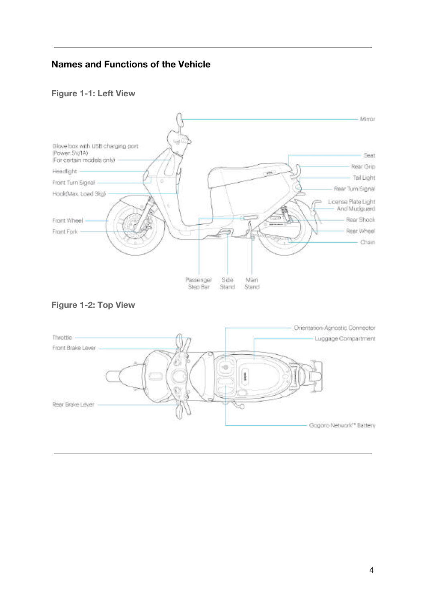## <span id="page-4-0"></span>**Names and Functions of the Vehicle**

#### <span id="page-4-1"></span>**Figure 1-1: Left View**



<span id="page-4-2"></span>

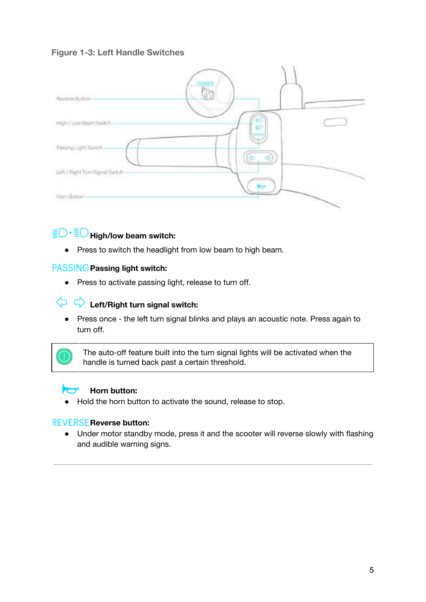#### <span id="page-5-0"></span>**Figure 1-3: Left Handle Switches**



# **High/low beam switch:**

● Press to switch the headlight from low beam to high beam.

#### **Passing light switch:**

● Press to activate passing light, release to turn off.

# **Left/Right turn signal switch:**

● Press once - the left turn signal blinks and plays an acoustic note. Press again to turn off.

The auto-off feature built into the turn signal lights will be activated when the handle is turned back past a certain threshold.

#### **Horn button:**  $\sim$

● Hold the horn button to activate the sound, release to stop.

#### **Reverse button:**

● Under motor standby mode, press it and the scooter will reverse slowly with flashing and audible warning signs.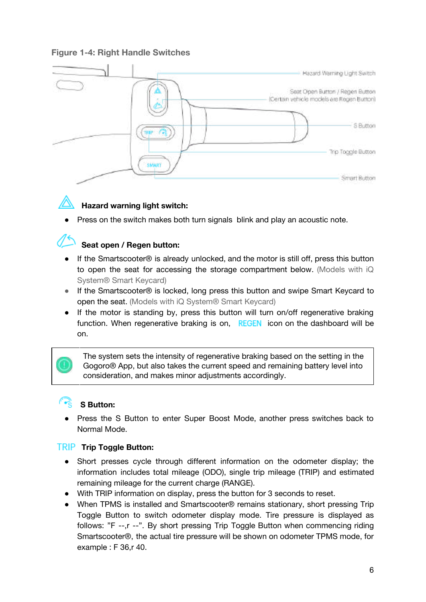#### <span id="page-6-0"></span>**Figure 1-4: Right Handle Switches**





### **Hazard warning light switch:**

Press on the switch makes both turn signals blink and play an acoustic note.

### **Seat open / Regen button:**

- If the Smartscooter<sup>®</sup> is already unlocked, and the motor is still off, press this button to open the seat for accessing the storage compartment below. (Models with iQ System® Smart Keycard)
- If the Smartscooter<sup>®</sup> is locked, long press this button and swipe Smart Keycard to open the seat. (Models with iQ System® Smart Keycard)
- If the motor is standing by, press this button will turn on/off regenerative braking function. When regenerative braking is on,  $REGEN$  icon on the dashboard will be on.

The system sets the intensity of regenerative braking based on the setting in the Gogoro® App, but also takes the current speed and remaining battery level into consideration, and makes minor adjustments accordingly.

### **S Button:**

Press the S Button to enter Super Boost Mode, another press switches back to Normal Mode.

#### **Trip Toggle Button:**

- Short presses cycle through different information on the odometer display; the information includes total mileage (ODO), single trip mileage (TRIP) and estimated remaining mileage for the current charge (RANGE).
- With TRIP information on display, press the button for 3 seconds to reset.
- When TPMS is installed and Smartscooter® remains stationary, short pressing Trip Toggle Button to switch odometer display mode. Tire pressure is displayed as follows: "F --,r --". By short pressing Trip Toggle Button when commencing riding Smartscooter®, the actual tire pressure will be shown on odometer TPMS mode, for example : F 36,r 40.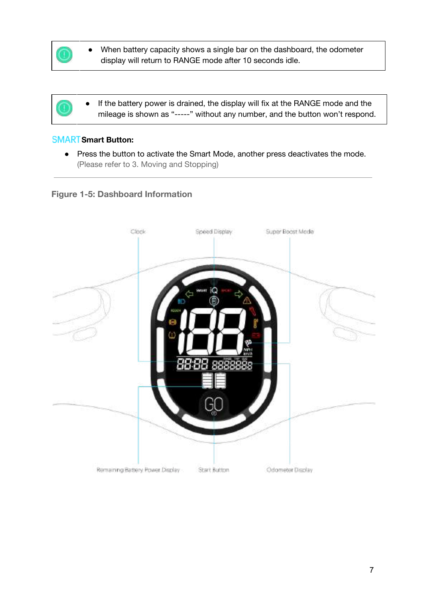

- When battery capacity shows a single bar on the dashboard, the odometer display will return to RANGE mode after 10 seconds idle.
- If the battery power is drained, the display will fix at the RANGE mode and the mileage is shown as "-----" without any number, and the button won't respond.

#### **Smart Button:**

● Press the button to activate the Smart Mode, another press deactivates the mode. (Please refer to 3. Moving and Stopping)

#### <span id="page-7-0"></span>**Figure 1-5: Dashboard Information**

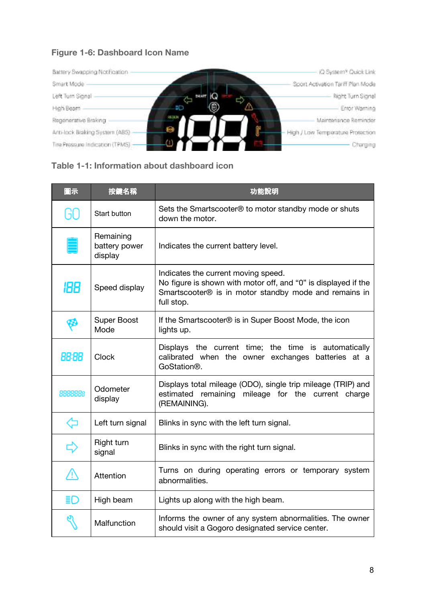## <span id="page-8-0"></span>**Figure 1-6: Dashboard Icon Name**



#### <span id="page-8-1"></span>**Table 1-1: Information about dashboard icon**

| 圖示      | 按鍵名稱                                  | 功能說明                                                                                                                                                                         |
|---------|---------------------------------------|------------------------------------------------------------------------------------------------------------------------------------------------------------------------------|
| GO      | Start button                          | Sets the Smartscooter <sup>®</sup> to motor standby mode or shuts<br>down the motor.                                                                                         |
|         | Remaining<br>battery power<br>display | Indicates the current battery level.                                                                                                                                         |
| 188     | Speed display                         | Indicates the current moving speed.<br>No figure is shown with motor off, and "0" is displayed if the<br>Smartscooter® is in motor standby mode and remains in<br>full stop. |
|         | <b>Super Boost</b><br>Mode            | If the Smartscooter <sup>®</sup> is in Super Boost Mode, the icon<br>lights up.                                                                                              |
| 88:88   | Clock                                 | Displays the current time; the time is automatically<br>calibrated when the owner exchanges batteries at a<br>GoStation®.                                                    |
| 8888888 | Odometer<br>display                   | Displays total mileage (ODO), single trip mileage (TRIP) and<br>estimated remaining mileage for the current charge<br>(REMAINING).                                           |
| ⇦       | Left turn signal                      | Blinks in sync with the left turn signal.                                                                                                                                    |
| ф       | Right turn<br>signal                  | Blinks in sync with the right turn signal.                                                                                                                                   |
| ⚠       | Attention                             | Turns on during operating errors or temporary system<br>abnormalities.                                                                                                       |
| ≣D      | High beam                             | Lights up along with the high beam.                                                                                                                                          |
|         | Malfunction                           | Informs the owner of any system abnormalities. The owner<br>should visit a Gogoro designated service center.                                                                 |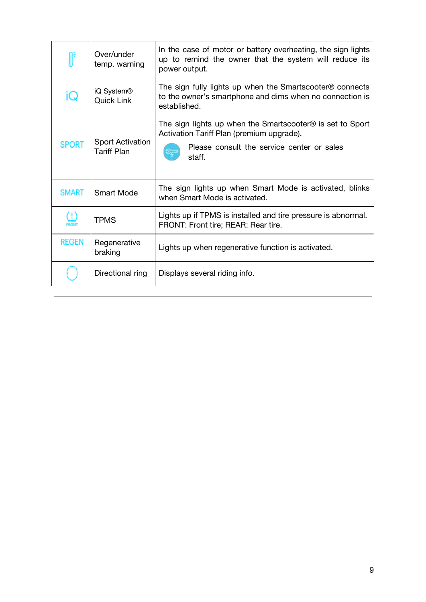|                                       | Over/under<br>temp. warning                   | In the case of motor or battery overheating, the sign lights<br>up to remind the owner that the system will reduce its<br>power output.                                   |
|---------------------------------------|-----------------------------------------------|---------------------------------------------------------------------------------------------------------------------------------------------------------------------------|
| ίQ                                    | iQ System <sup>®</sup><br><b>Quick Link</b>   | The sign fully lights up when the Smartscooter <sup>®</sup> connects<br>to the owner's smartphone and dims when no connection is<br>established.                          |
| <b>SPORT</b>                          | <b>Sport Activation</b><br><b>Tariff Plan</b> | The sign lights up when the Smartscooter $\circledR$ is set to Sport<br>Activation Tariff Plan (premium upgrade).<br>Please consult the service center or sales<br>staff. |
| <b>SMART</b>                          | Smart Mode                                    | The sign lights up when Smart Mode is activated, blinks<br>when Smart Mode is activated.                                                                                  |
| $\left( \left. \cdot \right) \right.$ | <b>TPMS</b>                                   | Lights up if TPMS is installed and tire pressure is abnormal.<br>FRONT: Front tire; REAR: Rear tire.                                                                      |
| <b>REGEN</b>                          | Regenerative<br>braking                       | Lights up when regenerative function is activated.                                                                                                                        |
|                                       | Directional ring                              | Displays several riding info.                                                                                                                                             |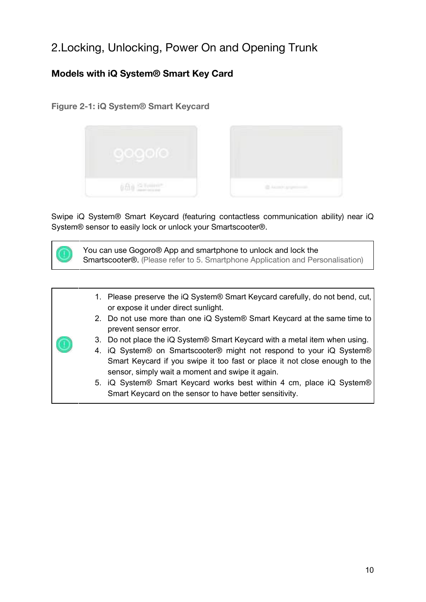# <span id="page-10-0"></span>2.Locking, Unlocking, Power On and Opening Trunk

# <span id="page-10-1"></span>**Models with iQ System® Smart Key Card**

<span id="page-10-2"></span>**Figure 2-1: iQ System® Smart Keycard**



Swipe iQ System® Smart Keycard (featuring contactless communication ability) near iQ System® sensor to easily lock or unlock your Smartscooter®.



|  | 1. Please preserve the iQ System® Smart Keycard carefully, do not bend, cut,<br>or expose it under direct sunlight.            |
|--|--------------------------------------------------------------------------------------------------------------------------------|
|  | 2. Do not use more than one iQ System <sup>®</sup> Smart Keycard at the same time to<br>prevent sensor error.                  |
|  | 3. Do not place the iQ System® Smart Keycard with a metal item when using.                                                     |
|  | 4. iQ System <sup>®</sup> on Smartscooter <sup>®</sup> might not respond to your iQ System <sup>®</sup>                        |
|  | Smart Keycard if you swipe it too fast or place it not close enough to the<br>sensor, simply wait a moment and swipe it again. |
|  | 5. iQ System® Smart Keycard works best within 4 cm, place iQ System®                                                           |
|  | Smart Keycard on the sensor to have better sensitivity.                                                                        |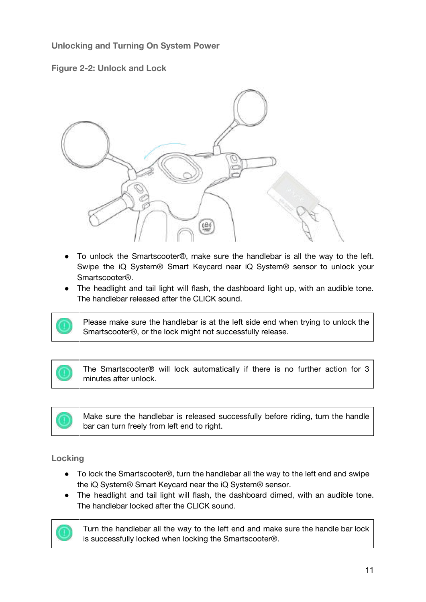#### <span id="page-11-0"></span>**Unlocking and Turning On System Power**

<span id="page-11-1"></span>



- To unlock the Smartscooter®, make sure the handlebar is all the way to the left. Swipe the iQ System® Smart Keycard near iQ System® sensor to unlock your Smartscooter®.
- The headlight and tail light will flash, the dashboard light up, with an audible tone. The handlebar released after the CLICK sound.



Please make sure the handlebar is at the left side end when trying to unlock the Smartscooter®, or the lock might not successfully release.

The Smartscooter® will lock automatically if there is no further action for 3 minutes after unlock.



#### <span id="page-11-2"></span>**Locking**

- To lock the Smartscooter<sup>®</sup>, turn the handlebar all the way to the left end and swipe the iQ System® Smart Keycard near the iQ System® sensor.
- The headlight and tail light will flash, the dashboard dimed, with an audible tone. The handlebar locked after the CLICK sound.



Turn the handlebar all the way to the left end and make sure the handle bar lock is successfully locked when locking the Smartscooter®.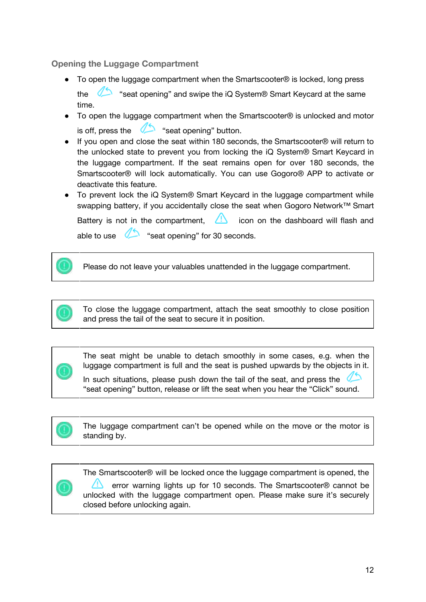#### <span id="page-12-0"></span>**Opening the Luggage Compartment**

- To open the luggage compartment when the Smartscooter® is locked, long press the "seat opening" and swipe the iQ System® Smart Keycard at the same time.
- To open the luggage compartment when the Smartscooter® is unlocked and motor is off, press the  $\sum$  "seat opening" button.
- If you open and close the seat within 180 seconds, the Smartscooter® will return to the unlocked state to prevent you from locking the iQ System® Smart Keycard in the luggage compartment. If the seat remains open for over 180 seconds, the Smartscooter® will lock automatically. You can use Gogoro® APP to activate or deactivate this feature.
- To prevent lock the iQ System<sup>®</sup> Smart Keycard in the luggage compartment while swapping battery, if you accidentally close the seat when Gogoro Network™ Smart

Battery is not in the compartment,  $\Box$  icon on the dashboard will flash and able to use  $\sum$  "seat opening" for 30 seconds.

Please do not leave your valuables unattended in the luggage compartment.



The seat might be unable to detach smoothly in some cases, e.g. when the luggage compartment is full and the seat is pushed upwards by the objects in it.

In such situations, please push down the tail of the seat, and press the "seat opening" button, release or lift the seat when you hear the "Click" sound.



The luggage compartment can't be opened while on the move or the motor is standing by.

The Smartscooter® will be locked once the luggage compartment is opened, the error warning lights up for 10 seconds. The Smartscooter® cannot be

unlocked with the luggage compartment open. Please make sure it's securely closed before unlocking again.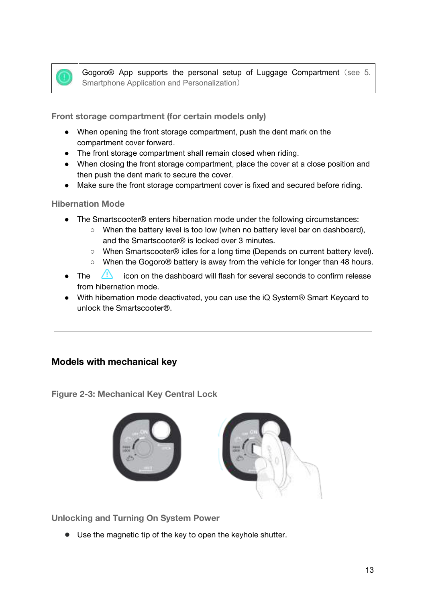

Gogoro<sup>®</sup> App supports the personal setup of Luggage Compartment (see 5. Smartphone Application and Personalization)

<span id="page-13-0"></span>**Front storage compartment (for certain models only)**

- When opening the front storage compartment, push the dent mark on the compartment cover forward.
- The front storage compartment shall remain closed when riding.
- When closing the front storage compartment, place the cover at a close position and then push the dent mark to secure the cover.
- Make sure the front storage compartment cover is fixed and secured before riding.

#### <span id="page-13-1"></span>**Hibernation Mode**

- The Smartscooter® enters hibernation mode under the following circumstances:
	- When the battery level is too low (when no battery level bar on dashboard), and the Smartscooter® is locked over 3 minutes.
	- When Smartscooter® idles for a long time (Depends on current battery level).
	- When the Gogoro® battery is away from the vehicle for longer than 48 hours.
- $\bullet$  The  $\left\langle \cdot \right\rangle$  icon on the dashboard will flash for several seconds to confirm release from hibernation mode.
- With hibernation mode deactivated, you can use the iQ System<sup>®</sup> Smart Keycard to unlock the Smartscooter®.

### <span id="page-13-2"></span>**Models with mechanical key**

<span id="page-13-3"></span>**Figure 2-3: Mechanical Key Central Lock**



<span id="page-13-4"></span>**Unlocking and Turning On System Power**

● Use the magnetic tip of the key to open the keyhole shutter.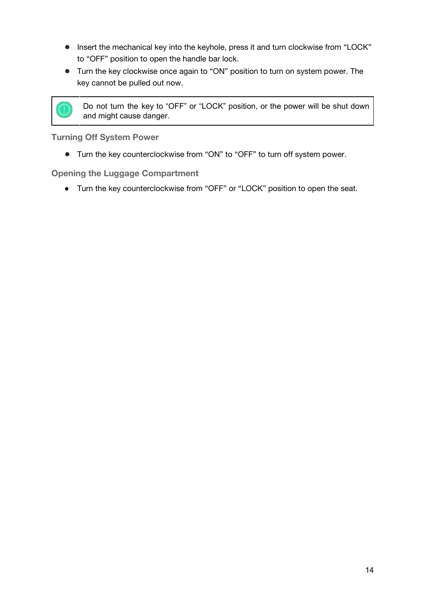- Insert the mechanical key into the keyhole, press it and turn clockwise from "LOCK" to "OFF" position to open the handle bar lock.
- Turn the key clockwise once again to "ON" position to turn on system power. The key cannot be pulled out now.



Do not turn the key to "OFF" or "LOCK" position, or the power will be shut down and might cause danger.

<span id="page-14-0"></span>**Turning Off System Power**

● Turn the key counterclockwise from "ON" to "OFF" to turn off system power.

<span id="page-14-1"></span>**Opening the Luggage Compartment**

● Turn the key counterclockwise from "OFF" or "LOCK" position to open the seat.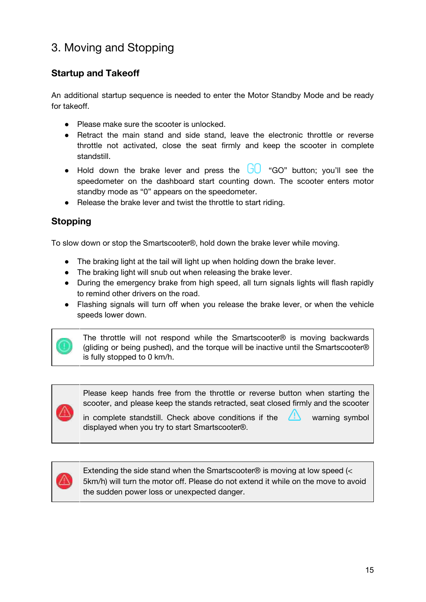# <span id="page-15-0"></span>3. Moving and Stopping

# <span id="page-15-1"></span>**Startup and Takeoff**

An additional startup sequence is needed to enter the Motor Standby Mode and be ready for takeoff.

- Please make sure the scooter is unlocked.
- Retract the main stand and side stand, leave the electronic throttle or reverse throttle not activated, close the seat firmly and keep the scooter in complete standstill.
- Hold down the brake lever and press the  $\overline{U} \cup \overline{U}$  "GO" button; you'll see the speedometer on the dashboard start counting down. The scooter enters motor standby mode as "0" appears on the speedometer.
- Release the brake lever and twist the throttle to start riding.

# <span id="page-15-2"></span>**Stopping**

To slow down or stop the Smartscooter®, hold down the brake lever while moving.

- The braking light at the tail will light up when holding down the brake lever.
- The braking light will snub out when releasing the brake lever.
- During the emergency brake from high speed, all turn signals lights will flash rapidly to remind other drivers on the road.
- Flashing signals will turn off when you release the brake lever, or when the vehicle speeds lower down.



The throttle will not respond while the Smartscooter® is moving backwards (gliding or being pushed), and the torque will be inactive until the Smartscooter® is fully stopped to 0 km/h.



Please keep hands free from the throttle or reverse button when starting the scooter, and please keep the stands retracted, seat closed firmly and the scooter

in complete standstill. Check above conditions if the  $\Box$  warning symbol displayed when you try to start Smartscooter®.



Extending the side stand when the Smartscooter® is moving at low speed (< 5km/h) will turn the motor off. Please do not extend it while on the move to avoid the sudden power loss or unexpected danger.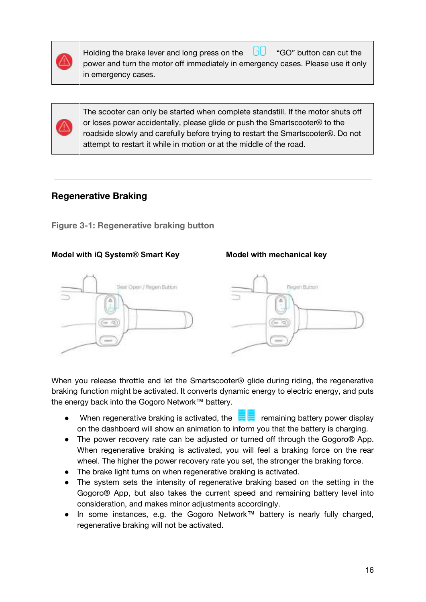

Holding the brake lever and long press on the  $\Box$  "GO" button can cut the power and turn the motor off immediately in emergency cases. Please use it only in emergency cases.

The scooter can only be started when complete standstill. If the motor shuts off or loses power accidentally, please glide or push the Smartscooter® to the roadside slowly and carefully before trying to restart the Smartscooter®. Do not attempt to restart it while in motion or at the middle of the road.

#### <span id="page-16-0"></span>**Regenerative Braking**

<span id="page-16-1"></span>**Figure 3-1: Regenerative braking button**

#### **Model with iQ System® Smart Key Model with mechanical key**

# Seat Open / Regen Button Rogert Button

When you release throttle and let the Smartscooter® glide during riding, the regenerative braking function might be activated. It converts dynamic energy to electric energy, and puts the energy back into the Gogoro Network™ battery.

- When regenerative braking is activated, the  $\blacksquare$  remaining battery power display on the dashboard will show an animation to inform you that the battery is charging.
- The power recovery rate can be adjusted or turned off through the Gogoro® App. When regenerative braking is activated, you will feel a braking force on the rear wheel. The higher the power recovery rate you set, the stronger the braking force.
- The brake light turns on when regenerative braking is activated.
- The system sets the intensity of regenerative braking based on the setting in the Gogoro® App, but also takes the current speed and remaining battery level into consideration, and makes minor adjustments accordingly.
- In some instances, e.g. the Gogoro Network™ battery is nearly fully charged, regenerative braking will not be activated.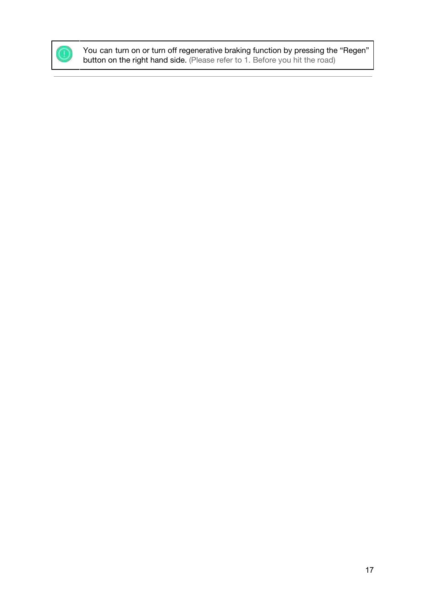

You can turn on or turn off regenerative braking function by pressing the "Regen" button on the right hand side. (Please refer to 1. Before you hit the road)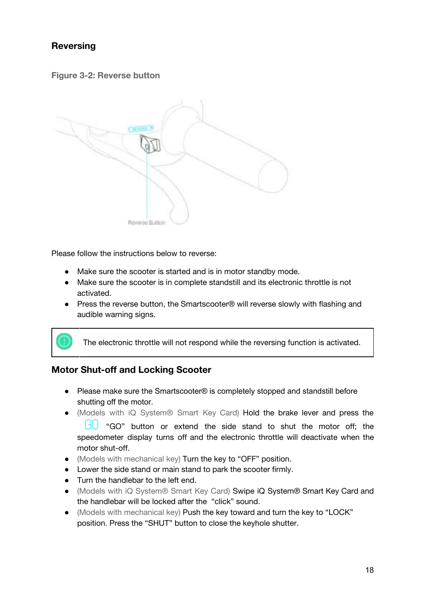# <span id="page-18-0"></span>**Reversing**

<span id="page-18-1"></span>**Figure 3-2: Reverse button**



Please follow the instructions below to reverse:

- Make sure the scooter is started and is in motor standby mode.
- Make sure the scooter is in complete standstill and its electronic throttle is not activated.
- Press the reverse button, the Smartscooter® will reverse slowly with flashing and audible warning signs.



# <span id="page-18-2"></span>**Motor Shut-off and Locking Scooter**

- Please make sure the Smartscooter® is completely stopped and standstill before shutting off the motor.
- (Models with iQ System® Smart Key Card) Hold the brake lever and press the

 $GO$  "GO" button or extend the side stand to shut the motor off; the speedometer display turns off and the electronic throttle will deactivate when the motor shut-off.

- (Models with mechanical key) Turn the key to "OFF" position.
- Lower the side stand or main stand to park the scooter firmly.
- Turn the handlebar to the left end.
- (Models with iQ System® Smart Key Card) Swipe iQ System® Smart Key Card and the handlebar will be locked after the "click" sound.
- (Models with mechanical key) Push the key toward and turn the key to "LOCK" position. Press the "SHUT" button to close the keyhole shutter.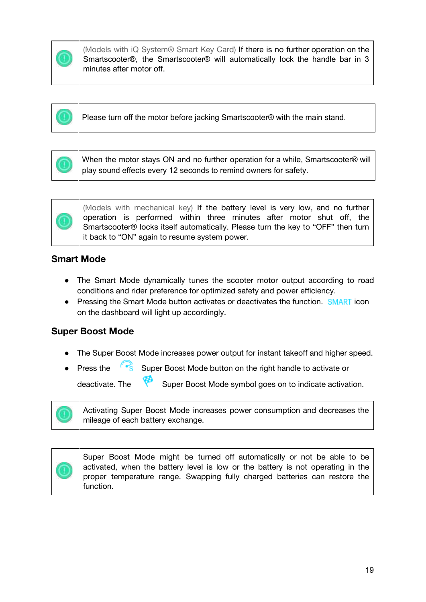

(Models with iQ System® Smart Key Card) If there is no further operation on the Smartscooter®, the Smartscooter® will automatically lock the handle bar in 3 minutes after motor off.

Please turn off the motor before jacking Smartscooter® with the main stand.

When the motor stays ON and no further operation for a while, Smartscooter® will play sound effects every 12 seconds to remind owners for safety.



(Models with mechanical key) If the battery level is very low, and no further operation is performed within three minutes after motor shut off, the Smartscooter® locks itself automatically. Please turn the key to "OFF" then turn it back to "ON" again to resume system power.

## <span id="page-19-0"></span>**Smart Mode**

- The Smart Mode dynamically tunes the scooter motor output according to road conditions and rider preference for optimized safety and power efficiency.
- Pressing the Smart Mode button activates or deactivates the function. SMART icon on the dashboard will light up accordingly.

### <span id="page-19-1"></span>**Super Boost Mode**

- The Super Boost Mode increases power output for instant takeoff and higher speed.
- Press the Super Boost Mode button on the right handle to activate or deactivate. The Super Boost Mode symbol goes on to indicate activation.

Activating Super Boost Mode increases power consumption and decreases the mileage of each battery exchange.



Super Boost Mode might be turned off automatically or not be able to be activated, when the battery level is low or the battery is not operating in the proper temperature range. Swapping fully charged batteries can restore the function.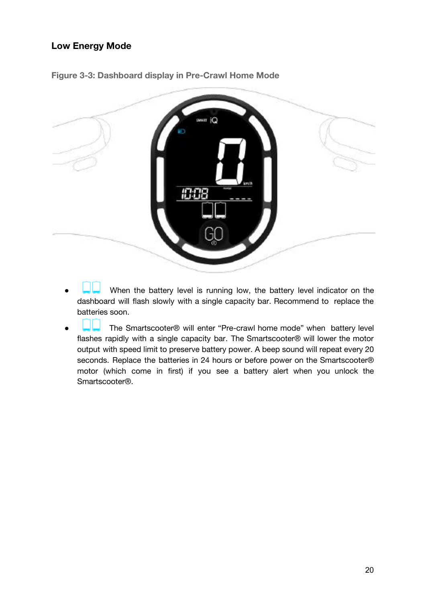## <span id="page-20-0"></span>**Low Energy Mode**



<span id="page-20-1"></span>**Figure 3-3: Dashboard display in Pre-Crawl Home Mode**

- When the battery level is running low, the battery level indicator on the dashboard will flash slowly with a single capacity bar. Recommend to replace the batteries soon.
- The Smartscooter® will enter "Pre-crawl home mode" when battery level flashes rapidly with a single capacity bar. The Smartscooter® will lower the motor output with speed limit to preserve battery power. A beep sound will repeat every 20 seconds. Replace the batteries in 24 hours or before power on the Smartscooter® motor (which come in first) if you see a battery alert when you unlock the Smartscooter®.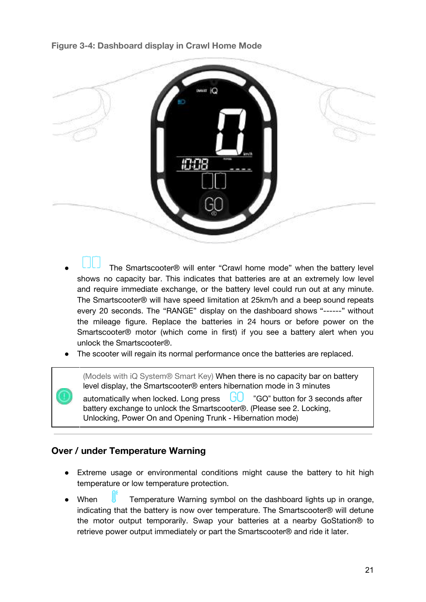#### <span id="page-21-0"></span>**Figure 3-4: Dashboard display in Crawl Home Mode**

| <b>SMART</b>        |  |
|---------------------|--|
|                     |  |
| <b>SHEET</b><br>--- |  |
|                     |  |
|                     |  |

- The Smartscooter® will enter "Crawl home mode" when the battery level shows no capacity bar. This indicates that batteries are at an extremely low level and require immediate exchange, or the battery level could run out at any minute. The Smartscooter® will have speed limitation at 25km/h and a beep sound repeats every 20 seconds. The "RANGE" display on the dashboard shows "------" without the mileage figure. Replace the batteries in 24 hours or before power on the Smartscooter® motor (which come in first) if you see a battery alert when you unlock the Smartscooter®.
- The scooter will regain its normal performance once the batteries are replaced.

(Models with iQ System® Smart Key) When there is no capacity bar on battery level display, the Smartscooter® enters hibernation mode in 3 minutes

automatically when locked. Long press  $\Box$  "GO" button for 3 seconds after battery exchange to unlock the Smartscooter®. (Please see 2. Locking, Unlocking, Power On and Opening Trunk - Hibernation mode)

#### <span id="page-21-1"></span>**Over / under Temperature Warning**

- Extreme usage or environmental conditions might cause the battery to hit high temperature or low temperature protection.
- When **U** Temperature Warning symbol on the dashboard lights up in orange, indicating that the battery is now over temperature. The Smartscooter® will detune the motor output temporarily. Swap your batteries at a nearby GoStation® to retrieve power output immediately or part the Smartscooter® and ride it later.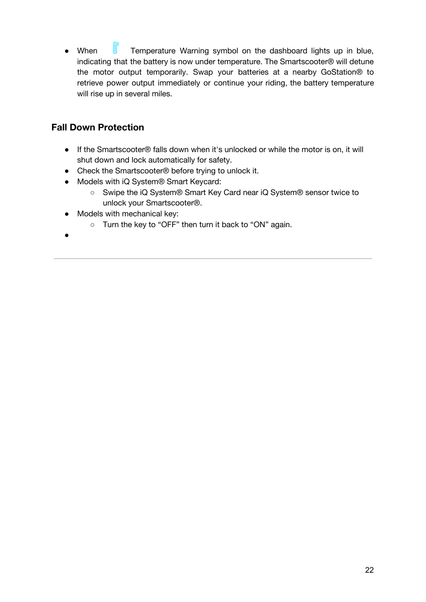• When **T**emperature Warning symbol on the dashboard lights up in blue, indicating that the battery is now under temperature. The Smartscooter® will detune the motor output temporarily. Swap your batteries at a nearby GoStation® to retrieve power output immediately or continue your riding, the battery temperature will rise up in several miles.

# <span id="page-22-0"></span>**Fall Down Protection**

- If the Smartscooter® falls down when it's unlocked or while the motor is on, it will shut down and lock automatically for safety.
- Check the Smartscooter<sup>®</sup> before trying to unlock it.
- Models with iQ System® Smart Keycard:
	- Swipe the iQ System® Smart Key Card near iQ System® sensor twice to unlock your Smartscooter®.
- Models with mechanical key:
	- Turn the key to "OFF" then turn it back to "ON" again.
- ●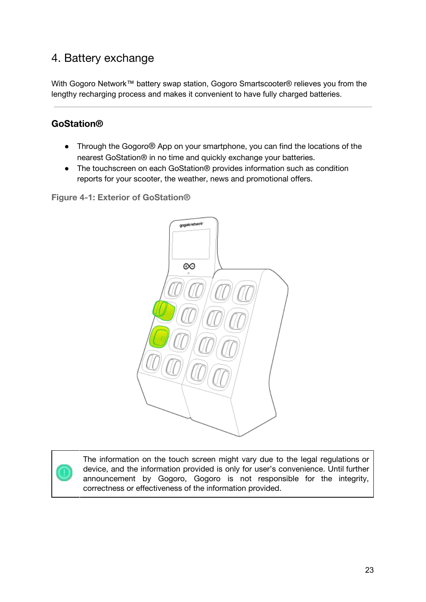# <span id="page-23-0"></span>4. Battery exchange

With Gogoro Network™ battery swap station, Gogoro Smartscooter® relieves you from the lengthy recharging process and makes it convenient to have fully charged batteries.

## <span id="page-23-1"></span>**GoStation®**

- Through the Gogoro® App on your smartphone, you can find the locations of the nearest GoStation® in no time and quickly exchange your batteries.
- The touchscreen on each GoStation<sup>®</sup> provides information such as condition reports for your scooter, the weather, news and promotional offers.

<span id="page-23-2"></span>**Figure 4-1: Exterior of GoStation®**



The information on the touch screen might vary due to the legal regulations or device, and the information provided is only for user's convenience. Until further announcement by Gogoro, Gogoro is not responsible for the integrity, correctness or effectiveness of the information provided.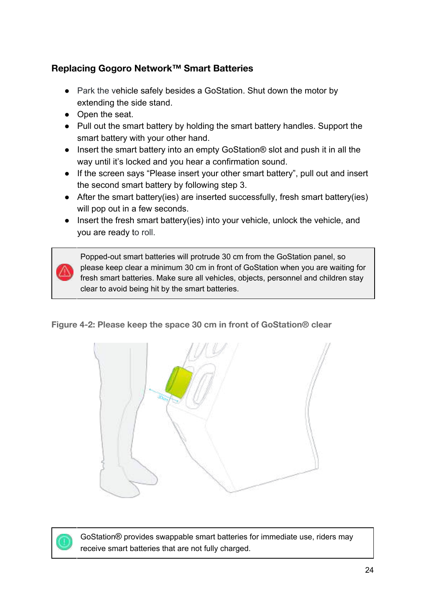# <span id="page-24-0"></span>**Replacing Gogoro Network™ Smart Batteries**

- Park the vehicle safely besides a GoStation. Shut down the motor by extending the side stand.
- Open the seat.
- Pull out the smart battery by holding the smart battery handles. Support the smart battery with your other hand.
- Insert the smart battery into an empty GoStation<sup>®</sup> slot and push it in all the way until it's locked and you hear a confirmation sound.
- If the screen says "Please insert your other smart battery", pull out and insert the second smart battery by following step 3.
- After the smart battery(ies) are inserted successfully, fresh smart battery(ies) will pop out in a few seconds.
- Insert the fresh smart battery(ies) into your vehicle, unlock the vehicle, and you are ready to roll.

Popped-out smart batteries will protrude 30 cm from the GoStation panel, so please keep clear a minimum 30 cm in front of GoStation when you are waiting for fresh smart batteries. Make sure all vehicles, objects, personnel and children stay clear to avoid being hit by the smart batteries.

### <span id="page-24-1"></span>**Figure 4-2: Please keep the space 30 cm in front of GoStation® clear**





GoStation® provides swappable smart batteries for immediate use, riders may receive smart batteries that are not fully charged.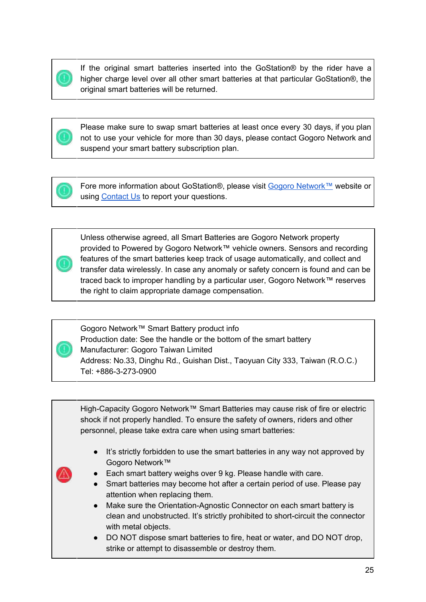If the original smart batteries inserted into the GoStation® by the rider have a higher charge level over all other smart batteries at that particular GoStation®, the original smart batteries will be returned.



Please make sure to swap smart batteries at least once every 30 days, if you plan not to use your vehicle for more than 30 days, please contact Gogoro Network and suspend your smart battery subscription plan.



Fore more information about GoStation®, please visit Gogoro [Network™](https://network.gogoro.com/tw/en/) website or using [Contact](https://network.gogoro.com/tw/en/contact-us/) Us to report your questions.

Unless otherwise agreed, all Smart Batteries are Gogoro Network property provided to Powered by Gogoro Network™ vehicle owners. Sensors and recording features of the smart batteries keep track of usage automatically, and collect and transfer data wirelessly. In case any anomaly or safety concern is found and can be traced back to improper handling by a particular user, Gogoro Network™ reserves the right to claim appropriate damage compensation.

Gogoro Network™ Smart Battery product info Production date: See the handle or the bottom of the smart battery Manufacturer: Gogoro Taiwan Limited Address: No.33, Dinghu Rd., Guishan Dist., Taoyuan City 333, Taiwan (R.O.C.) Tel: +886-3-273-0900

High-Capacity Gogoro Network™ Smart Batteries may cause risk of fire or electric shock if not properly handled. To ensure the safety of owners, riders and other personnel, please take extra care when using smart batteries:

- It's strictly forbidden to use the smart batteries in any way not approved by Gogoro Network™
- Each smart battery weighs over 9 kg. Please handle with care.
- Smart batteries may become hot after a certain period of use. Please pay attention when replacing them.
- Make sure the Orientation-Agnostic Connector on each smart battery is clean and unobstructed. It's strictly prohibited to short-circuit the connector with metal objects.
- DO NOT dispose smart batteries to fire, heat or water, and DO NOT drop, strike or attempt to disassemble or destroy them.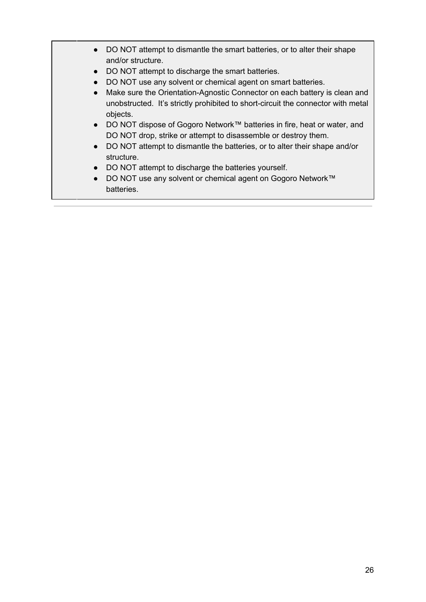- DO NOT attempt to dismantle the smart batteries, or to alter their shape and/or structure.
- DO NOT attempt to discharge the smart batteries.
- DO NOT use any solvent or chemical agent on smart batteries.
- Make sure the Orientation-Agnostic Connector on each battery is clean and unobstructed. It's strictly prohibited to short-circuit the connector with metal objects.
- DO NOT dispose of Gogoro Network™ batteries in fire, heat or water, and DO NOT drop, strike or attempt to disassemble or destroy them.
- DO NOT attempt to dismantle the batteries, or to alter their shape and/or structure.
- DO NOT attempt to discharge the batteries yourself.
- DO NOT use any solvent or chemical agent on Gogoro Network™ batteries.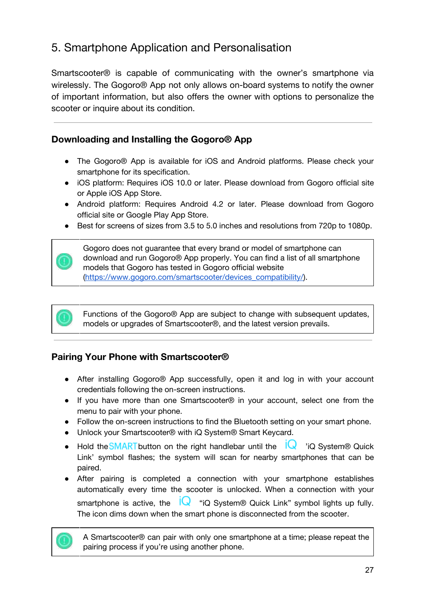# <span id="page-27-0"></span>5. Smartphone Application and Personalisation

Smartscooter® is capable of communicating with the owner's smartphone via wirelessly. The Gogoro® App not only allows on-board systems to notify the owner of important information, but also offers the owner with options to personalize the scooter or inquire about its condition.

## <span id="page-27-1"></span>**Downloading and Installing the Gogoro® App**

- The Gogoro® App is available for iOS and Android platforms. Please check your smartphone for its specification.
- iOS platform: Requires iOS 10.0 or later. Please download from Gogoro official site or Apple iOS App Store.
- Android platform: Requires Android 4.2 or later. Please download from Gogoro official site or Google Play App Store.
- Best for screens of sizes from 3.5 to 5.0 inches and resolutions from 720p to 1080p.



Gogoro does not guarantee that every brand or model of smartphone can download and run Gogoro® App properly. You can find a list of all smartphone models that Gogoro has tested in Gogoro official website [\(https://www.gogoro.com/smartscooter/devices\\_compatibility/\)](https://www.gogoro.com/smartscooter/devices_compatibility/).

Functions of the Gogoro® App are subject to change with subsequent updates, models or upgrades of Smartscooter®, and the latest version prevails.

### <span id="page-27-2"></span>**Pairing Your Phone with Smartscooter®**

- After installing Gogoro® App successfully, open it and log in with your account credentials following the on-screen instructions.
- If you have more than one Smartscooter® in your account, select one from the menu to pair with your phone.
- Follow the on-screen instructions to find the Bluetooth setting on your smart phone.
- Unlock your Smartscooter® with iQ System® Smart Keycard.
- Hold the **SMART** button on the right handlebar until the  $\overline{iQ}$  'iQ System® Quick Link' symbol flashes; the system will scan for nearby smartphones that can be paired.
- After pairing is completed a connection with your smartphone establishes automatically every time the scooter is unlocked. When a connection with your smartphone is active, the  $\mathsf{IQ}$  "iQ System® Quick Link" symbol lights up fully. The icon dims down when the smart phone is disconnected from the scooter.

A Smartscooter® can pair with only one smartphone at a time; please repeat the pairing process if you're using another phone.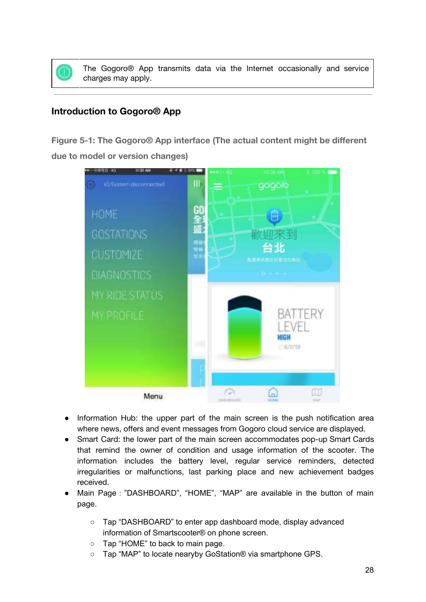The Gogoro® App transmits data via the Internet occasionally and service charges may apply.

### <span id="page-28-0"></span>**Introduction to Gogoro® App**

<span id="page-28-1"></span>**Figure 5-1: The Gogoro® App interface (The actual content might be different due to model or version changes)**



- Information Hub: the upper part of the main screen is the push notification area where news, offers and event messages from Gogoro cloud service are displayed.
- Smart Card: the lower part of the main screen accommodates pop-up Smart Cards that remind the owner of condition and usage information of the scooter. The information includes the battery level, regular service reminders, detected irregularities or malfunctions, last parking place and new achievement badges received.
- Main Page:"DASHBOARD", "HOME", "MAP" are available in the button of main page.
	- Tap "DASHBOARD" to enter app dashboard mode, display advanced information of Smartscooter® on phone screen.
	- Tap "HOME" to back to main page.
	- Tap "MAP" to locate nearyby GoStation® via smartphone GPS.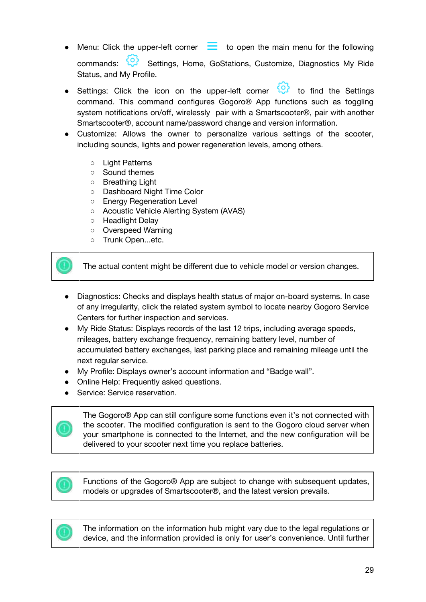- Menu: Click the upper-left corner  $\Box$  to open the main menu for the following commands: Settings, Home, GoStations, Customize, Diagnostics My Ride Status, and My Profile.
- Settings: Click the icon on the upper-left corner to find the Settings command. This command configures Gogoro® App functions such as toggling system notifications on/off, wirelessly pair with a Smartscooter®, pair with another Smartscooter®, account name/password change and version information.
- Customize: Allows the owner to personalize various settings of the scooter, including sounds, lights and power regeneration levels, among others.
	- Light Patterns
	- Sound themes
	- Breathing Light
	- Dashboard Night Time Color
	- Energy Regeneration Level
	- Acoustic Vehicle Alerting System (AVAS)
	- Headlight Delay
	- Overspeed Warning
	- Trunk Open...etc.

The actual content might be different due to vehicle model or version changes.

- Diagnostics: Checks and displays health status of major on-board systems. In case of any irregularity, click the related system symbol to locate nearby Gogoro Service Centers for further inspection and services.
- My Ride Status: Displays records of the last 12 trips, including average speeds, mileages, battery exchange frequency, remaining battery level, number of accumulated battery exchanges, last parking place and remaining mileage until the next regular service.
- My Profile: Displays owner's account information and "Badge wall".
- Online Help: Frequently asked questions.
- Service: Service reservation.

The Gogoro® App can still configure some functions even it's not connected with the scooter. The modified configuration is sent to the Gogoro cloud server when your smartphone is connected to the Internet, and the new configuration will be delivered to your scooter next time you replace batteries.

Functions of the Gogoro® App are subject to change with subsequent updates, models or upgrades of Smartscooter®, and the latest version prevails.



The information on the information hub might vary due to the legal regulations or device, and the information provided is only for user's convenience. Until further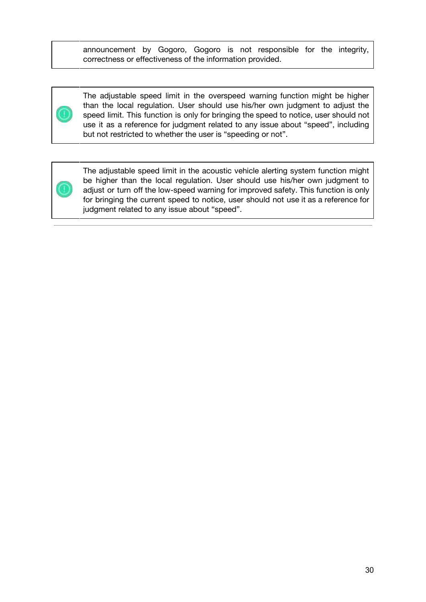announcement by Gogoro, Gogoro is not responsible for the integrity, correctness or effectiveness of the information provided.



The adjustable speed limit in the overspeed warning function might be higher than the local regulation. User should use his/her own judgment to adjust the speed limit. This function is only for bringing the speed to notice, user should not use it as a reference for judgment related to any issue about "speed", including but not restricted to whether the user is "speeding or not".



The adjustable speed limit in the acoustic vehicle alerting system function might be higher than the local regulation. User should use his/her own judgment to adjust or turn off the low-speed warning for improved safety. This function is only for bringing the current speed to notice, user should not use it as a reference for judgment related to any issue about "speed".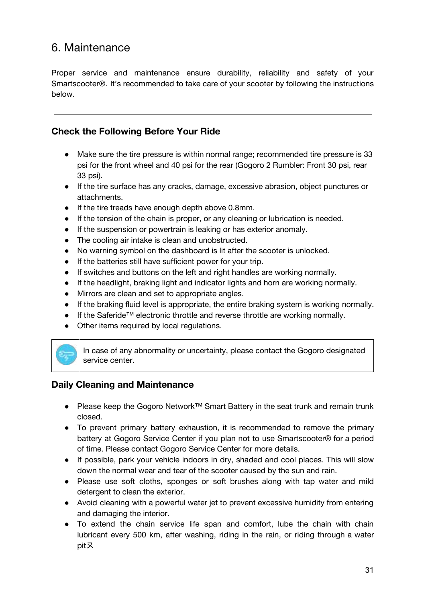# <span id="page-31-0"></span>6. Maintenance

Proper service and maintenance ensure durability, reliability and safety of your Smartscooter®. It's recommended to take care of your scooter by following the instructions below.

#### <span id="page-31-1"></span>**Check the Following Before Your Ride**

- Make sure the tire pressure is within normal range; recommended tire pressure is 33 psi for the front wheel and 40 psi for the rear (Gogoro 2 Rumbler: Front 30 psi, rear 33 psi).
- If the tire surface has any cracks, damage, excessive abrasion, object punctures or attachments.
- If the tire treads have enough depth above 0.8mm.
- If the tension of the chain is proper, or any cleaning or lubrication is needed.
- If the suspension or powertrain is leaking or has exterior anomaly.
- The cooling air intake is clean and unobstructed.
- No warning symbol on the dashboard is lit after the scooter is unlocked.
- If the batteries still have sufficient power for your trip.
- If switches and buttons on the left and right handles are working normally.
- If the headlight, braking light and indicator lights and horn are working normally.
- Mirrors are clean and set to appropriate angles.
- If the braking fluid level is appropriate, the entire braking system is working normally.
- If the Saferide™ electronic throttle and reverse throttle are working normally.
- Other items required by local regulations.



In case of any abnormality or uncertainty, please contact the Gogoro designated service center.

#### <span id="page-31-2"></span>**Daily Cleaning and Maintenance**

- Please keep the Gogoro Network™ Smart Battery in the seat trunk and remain trunk closed.
- To prevent primary battery exhaustion, it is recommended to remove the primary battery at Gogoro Service Center if you plan not to use Smartscooter® for a period of time. Please contact Gogoro Service Center for more details.
- If possible, park your vehicle indoors in dry, shaded and cool places. This will slow down the normal wear and tear of the scooter caused by the sun and rain.
- Please use soft cloths, sponges or soft brushes along with tap water and mild detergent to clean the exterior.
- Avoid cleaning with a powerful water jet to prevent excessive humidity from entering and damaging the interior.
- To extend the chain service life span and comfort, lube the chain with chain lubricant every 500 km, after washing, riding in the rain, or riding through a water pitㄡ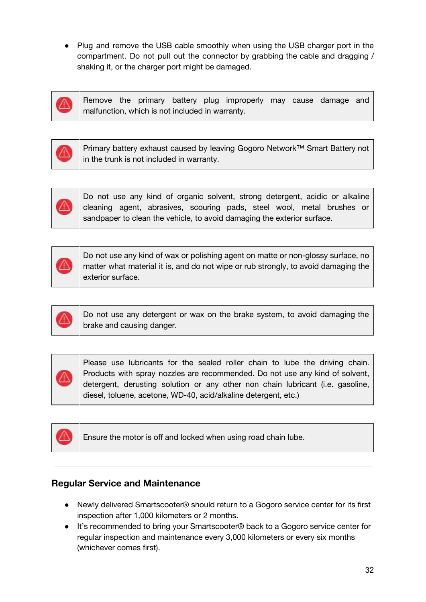● Plug and remove the USB cable smoothly when using the USB charger port in the compartment. Do not pull out the connector by grabbing the cable and dragging / shaking it, or the charger port might be damaged.



Remove the primary battery plug improperly may cause damage and malfunction, which is not included in warranty.



Primary battery exhaust caused by leaving Gogoro Network™ Smart Battery not in the trunk is not included in warranty.



Do not use any kind of organic solvent, strong detergent, acidic or alkaline cleaning agent, abrasives, scouring pads, steel wool, metal brushes or sandpaper to clean the vehicle, to avoid damaging the exterior surface.



Do not use any kind of wax or polishing agent on matte or non-glossy surface, no matter what material it is, and do not wipe or rub strongly, to avoid damaging the exterior surface.



Do not use any detergent or wax on the brake system, to avoid damaging the brake and causing danger.



Please use lubricants for the sealed roller chain to lube the driving chain. Products with spray nozzles are recommended. Do not use any kind of solvent, detergent, derusting solution or any other non chain lubricant (i.e. gasoline, diesel, toluene, acetone, WD-40, acid/alkaline detergent, etc.)



Ensure the motor is off and locked when using road chain lube.

### <span id="page-32-0"></span>**Regular Service and Maintenance**

- Newly delivered Smartscooter® should return to a Gogoro service center for its first inspection after 1,000 kilometers or 2 months.
- It's recommended to bring your Smartscooter® back to a Gogoro service center for regular inspection and maintenance every 3,000 kilometers or every six months (whichever comes first).